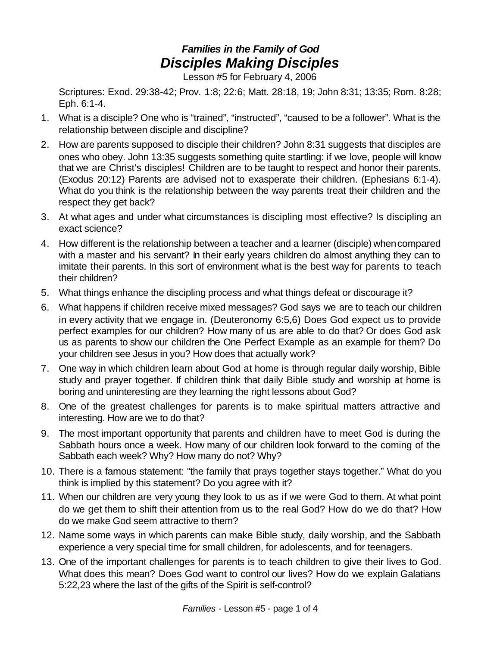## *Families in the Family of God Disciples Making Disciples*

Lesson #5 for February 4, 2006

Scriptures: Exod. 29:38-42; Prov. 1:8; 22:6; Matt. 28:18, 19; John 8:31; 13:35; Rom. 8:28; Eph. 6:1-4.

- 1. What is a disciple? One who is "trained", "instructed", "caused to be a follower". What is the relationship between disciple and discipline?
- 2. How are parents supposed to disciple their children? John 8:31 suggests that disciples are ones who obey. John 13:35 suggests something quite startling: if we love, people will know that we are Christ's disciples! Children are to be taught to respect and honor their parents. (Exodus 20:12) Parents are advised not to exasperate their children. (Ephesians 6:1-4). What do you think is the relationship between the way parents treat their children and the respect they get back?
- 3. At what ages and under what circumstances is discipling most effective? Is discipling an exact science?
- 4. How different is the relationship between a teacher and a learner (disciple) whencompared with a master and his servant? In their early years children do almost anything they can to imitate their parents. In this sort of environment what is the best way for parents to teach their children?
- 5. What things enhance the discipling process and what things defeat or discourage it?
- 6. What happens if children receive mixed messages? God says we are to teach our children in every activity that we engage in. (Deuteronomy 6:5,6) Does God expect us to provide perfect examples for our children? How many of us are able to do that? Or does God ask us as parents to show our children the One Perfect Example as an example for them? Do your children see Jesus in you? How does that actually work?
- 7. One way in which children learn about God at home is through regular daily worship, Bible study and prayer together. If children think that daily Bible study and worship at home is boring and uninteresting are they learning the right lessons about God?
- 8. One of the greatest challenges for parents is to make spiritual matters attractive and interesting. How are we to do that?
- 9. The most important opportunity that parents and children have to meet God is during the Sabbath hours once a week. How many of our children look forward to the coming of the Sabbath each week? Why? How many do not? Why?
- 10. There is a famous statement: "the family that prays together stays together." What do you think is implied by this statement? Do you agree with it?
- 11. When our children are very young they look to us as if we were God to them. At what point do we get them to shift their attention from us to the real God? How do we do that? How do we make God seem attractive to them?
- 12. Name some ways in which parents can make Bible study, daily worship, and the Sabbath experience a very special time for small children, for adolescents, and for teenagers.
- 13. One of the important challenges for parents is to teach children to give their lives to God. What does this mean? Does God want to control our lives? How do we explain Galatians 5:22,23 where the last of the gifts of the Spirit is self-control?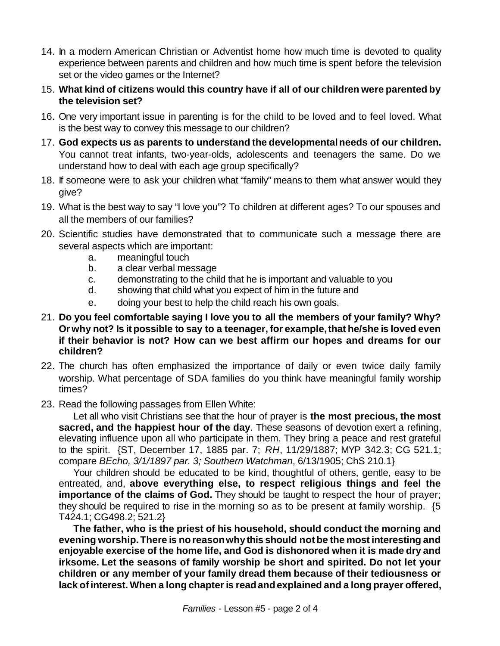- 14. In a modern American Christian or Adventist home how much time is devoted to quality experience between parents and children and how much time is spent before the television set or the video games or the Internet?
- 15. **What kind of citizens would this country have if all of our children were parented by the television set?**
- 16. One very important issue in parenting is for the child to be loved and to feel loved. What is the best way to convey this message to our children?
- 17. **God expects us as parents to understand the developmentalneeds of our children.** You cannot treat infants, two-year-olds, adolescents and teenagers the same. Do we understand how to deal with each age group specifically?
- 18. If someone were to ask your children what "family" means to them what answer would they give?
- 19. What is the best way to say "I love you"? To children at different ages? To our spouses and all the members of our families?
- 20. Scientific studies have demonstrated that to communicate such a message there are several aspects which are important:
	- a. meaningful touch
	- b. a clear verbal message
	- c. demonstrating to the child that he is important and valuable to you
	- d. showing that child what you expect of him in the future and
	- e. doing your best to help the child reach his own goals.
- 21. **Do you feel comfortable saying I love you to all the members of your family? Why? Or why not? Is it possible to say to a teenager, for example,that he/she is loved even if their behavior is not? How can we best affirm our hopes and dreams for our children?**
- 22. The church has often emphasized the importance of daily or even twice daily family worship. What percentage of SDA families do you think have meaningful family worship times?
- 23. Read the following passages from Ellen White:

Let all who visit Christians see that the hour of prayer is **the most precious, the most sacred, and the happiest hour of the day**. These seasons of devotion exert a refining, elevating influence upon all who participate in them. They bring a peace and rest grateful to the spirit. {ST, December 17, 1885 par. 7; *RH*, 11/29/1887; MYP 342.3; CG 521.1; compare *BEcho, 3/1/1897 par. 3; Southern Watchman*, 6/13/1905; ChS 210.1}

Your children should be educated to be kind, thoughtful of others, gentle, easy to be entreated, and, **above everything else, to respect religious things and feel the importance of the claims of God.** They should be taught to respect the hour of prayer; they should be required to rise in the morning so as to be present at family worship. {5 T424.1; CG498.2; 521.2}

**The father, who is the priest of his household, should conduct the morning and evening worship.There is noreasonwhy this should notbe the most interesting and enjoyable exercise of the home life, and God is dishonored when it is made dry and irksome. Let the seasons of family worship be short and spirited. Do not let your children or any member of your family dread them because of their tediousness or lack ofinterest. When a long chapteris readandexplained and a long prayer offered,**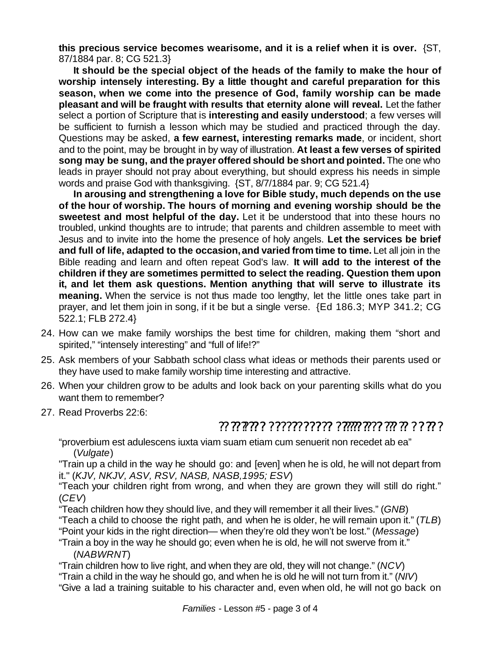**this precious service becomes wearisome, and it is a relief when it is over.** {ST, 87/1884 par. 8; CG 521.3}

**It should be the special object of the heads of the family to make the hour of worship intensely interesting. By a little thought and careful preparation for this season, when we come into the presence of God, family worship can be made pleasant and will be fraught with results that eternity alone will reveal.** Let the father select a portion of Scripture that is **interesting and easily understood**; a few verses will be sufficient to furnish a lesson which may be studied and practiced through the day. Questions may be asked, **a few earnest, interesting remarks made**, or incident, short and to the point, may be brought in by way of illustration. **At least a few verses of spirited song may be sung, and the prayer offered should be short and pointed.** The one who leads in prayer should not pray about everything, but should express his needs in simple words and praise God with thanksgiving. {ST, 8/7/1884 par. 9; CG 521.4}

**In arousing and strengthening a love for Bible study, much depends on the use of the hour of worship. The hours of morning and evening worship should be the sweetest and most helpful of the day.** Let it be understood that into these hours no troubled, unkind thoughts are to intrude; that parents and children assemble to meet with Jesus and to invite into the home the presence of holy angels. **Let the services be brief and full of life, adapted to the occasion,and varied from time to time.** Let all join in the Bible reading and learn and often repeat God's law. **It will add to the interest of the children if they are sometimes permitted to select the reading. Question them upon it, and let them ask questions. Mention anything that will serve to illustrate its meaning.** When the service is not thus made too lengthy, let the little ones take part in prayer, and let them join in song, if it be but a single verse. {Ed 186.3; MYP 341.2; CG 522.1; FLB 272.4}

- 24. How can we make family worships the best time for children, making them "short and spirited," "intensely interesting" and "full of life!?"
- 25. Ask members of your Sabbath school class what ideas or methods their parents used or they have used to make family worship time interesting and attractive.
- 26. When your children grow to be adults and look back on your parenting skills what do you want them to remember?
- 27. Read Proverbs 22:6:

## ? מִ יֹּךְ מִי מִי יִרְיִתְ מְזַחְרָי - מְיְרָיְרְיָרְיִיךְ יִ יְרָיְתֶּ יְרִי יִרְ

"proverbium est adulescens iuxta viam suam etiam cum senuerit non recedet ab ea" (*Vulgate*)

"Train up a child in the way he should go: and [even] when he is old, he will not depart from it." (*KJV, NKJV, ASV, RSV, NASB, NASB,1995; ESV*)

"Teach your children right from wrong, and when they are grown they will still do right." (*CEV*)

"Teach children how they should live, and they will remember it all their lives." (*GNB*)

"Teach a child to choose the right path, and when he is older, he will remain upon it." (*TLB*)

"Point your kids in the right direction— when they're old they won't be lost." (*Message*)

"Train a boy in the way he should go; even when he is old, he will not swerve from it." (*NABWRNT*)

"Train children how to live right, and when they are old, they will not change." (*NCV*)

"Train a child in the way he should go, and when he is old he will not turn from it." (*NIV*) "Give a lad a training suitable to his character and, even when old, he will not go back on